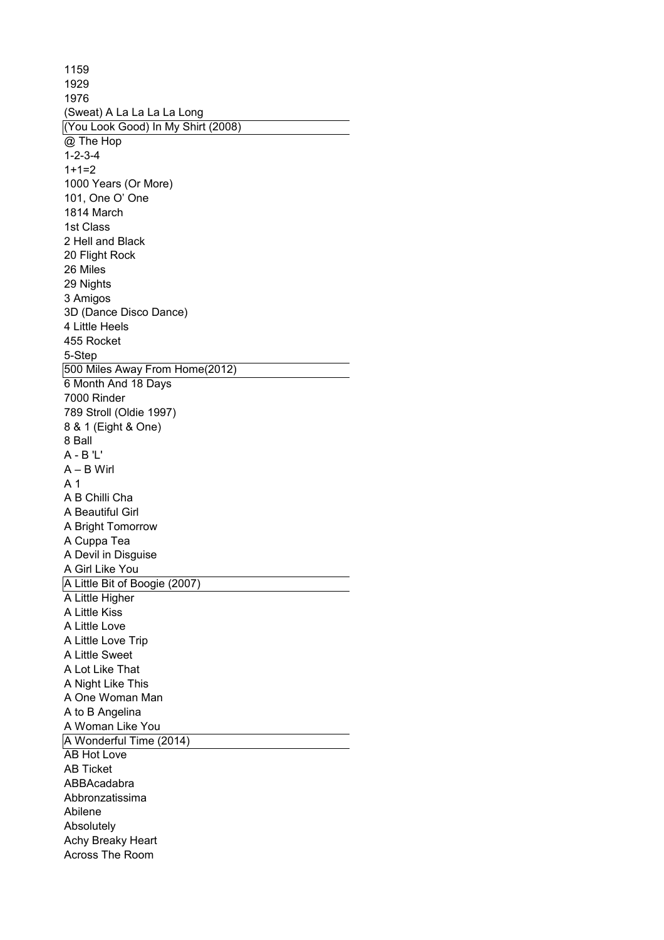1159 1929 1976 (Sweat) A La La La La Long (You Look Good) In My Shirt (2008)  $\overline{\omega}$  The Hop 1-2-3-4  $1+1=2$ 1000 Years (Or More) 101, One O' One 1814 March 1st Class 2 Hell and Black 20 Flight Rock 26 Miles 29 Nights 3 Amigos 3D (Dance Disco Dance) 4 Little Heels 455 Rocket 5-Step 500 Miles Away From Home(2012) 6 Month And 18 Days 7000 Rinder 789 Stroll (Oldie 1997) 8 & 1 (Eight & One) 8 Ball A - B 'L' A – B Wirl A 1 A B Chilli Cha A Beautiful Girl A Bright Tomorrow A Cuppa Tea A Devil in Disguise A Girl Like You A Little Bit of Boogie (2007) A Little Higher A Little Kiss A Little Love A Little Love Trip A Little Sweet A Lot Like That A Night Like This A One Woman Man A to B Angelina A Woman Like You A Wonderful Time (2014) AB Hot Love AB Ticket ABBAcadabra Abbronzatissima Abilene Absolutely Achy Breaky Heart Across The Room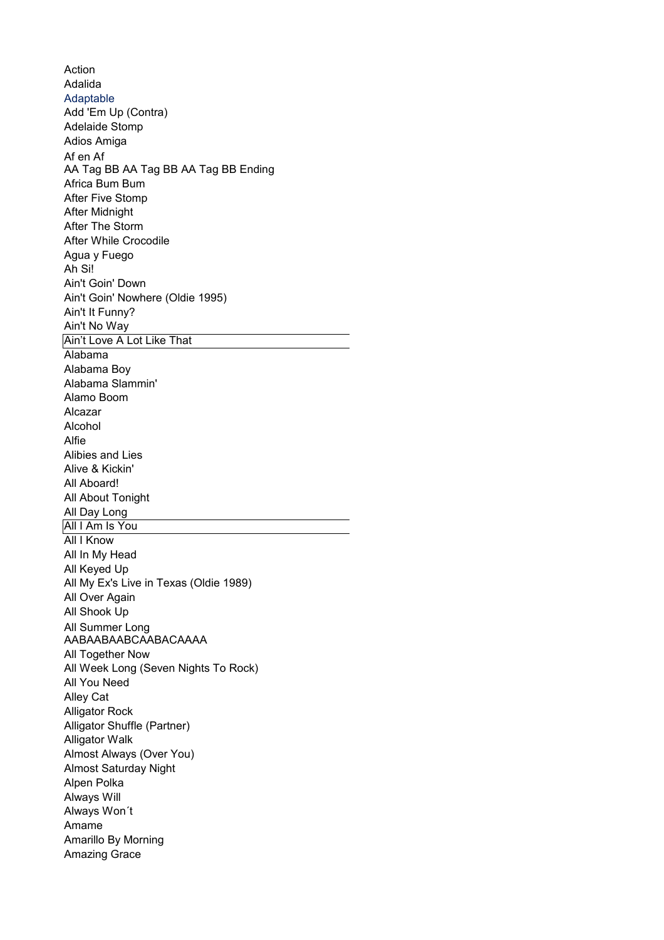Action Adalida Adaptable Add 'Em Up (Contra) Adelaide Stomp Adios Amiga Africa Bum Bum After Five Stomp After Midnight After The Storm After While Crocodile Agua y Fuego Ah Si! Ain't Goin' Down Ain't Goin' Nowhere (Oldie 1995) Ain't It Funny? Ain't No Way Ain't Love A Lot Like That Alabama Alabama Boy Alabama Slammin' Alamo Boom Alcazar Alcohol Alfie Alibies and Lies Alive & Kickin' All Aboard! All About Tonight All Day Long All I Am Is You **All I Know** All In My Head All Keyed Up All My Ex's Live in Texas (Oldie 1989) All Over Again All Shook Up All Together Now All Week Long (Seven Nights To Rock) All You Need Alley Cat Alligator Rock Alligator Shuffle (Partner) Alligator Walk Almost Always (Over You) Almost Saturday Night Alpen Polka Always Will Always Won´t Amame Amarillo By Morning Amazing Grace Af en Af AA Tag BB AA Tag BB AA Tag BB Ending All Summer Long AABAABAABCAABACAAAA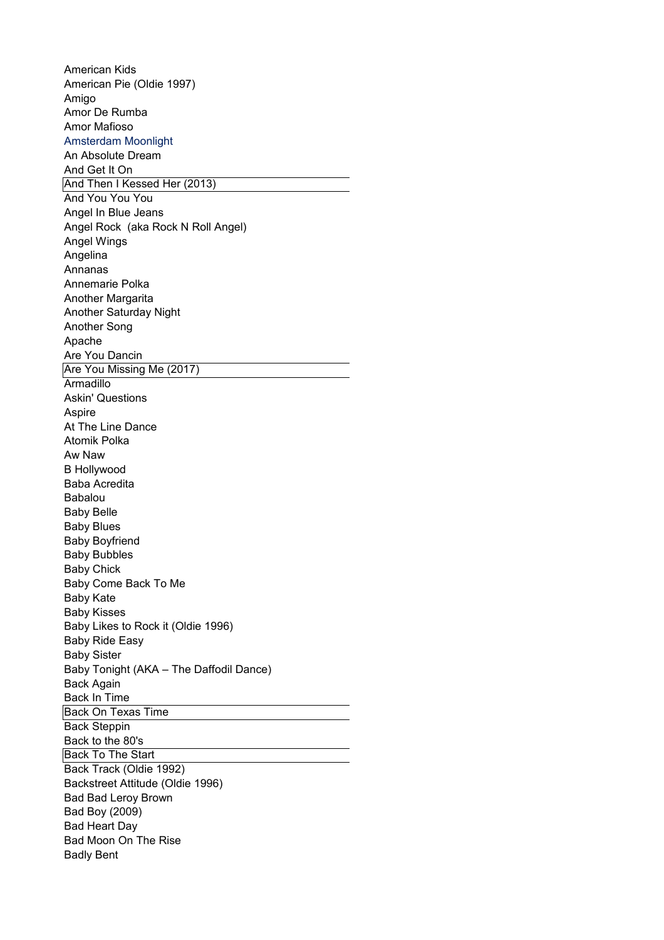American Kids American Pie (Oldie 1997) Amigo Amor De Rumba Amor Mafioso Amsterdam Moonlight An Absolute Dream And Get It On And Then I Kessed Her (2013) And You You You Angel In Blue Jeans Angel Rock (aka Rock N Roll Angel) Angel Wings Angelina Annanas Annemarie Polka Another Margarita Another Saturday Night Another Song Apache Are You Dancin Are You Missing Me (2017) **Armadillo** Askin' Questions Aspire At The Line Dance Atomik Polka Aw Naw B Hollywood Baba Acredita Babalou Baby Belle Baby Blues Baby Boyfriend Baby Bubbles Baby Chick Baby Come Back To Me Baby Kate Baby Kisses Baby Likes to Rock it (Oldie 1996) Baby Ride Easy Baby Sister Baby Tonight (AKA – The Daffodil Dance) Back Again Back In Time Back On Texas Time **Back Steppin** Back to the 80's Back To The Start Back Track (Oldie 1992) Backstreet Attitude (Oldie 1996) Bad Bad Leroy Brown Bad Boy (2009) Bad Heart Day Bad Moon On The Rise Badly Bent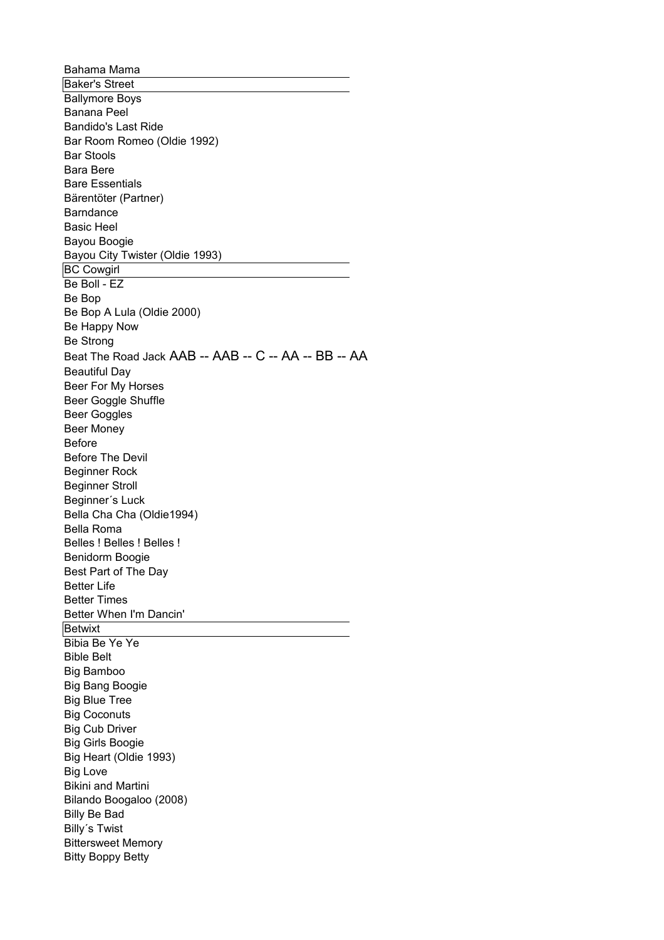Bahama Mama Baker's Street Ballymore Boys Banana Peel Bandido's Last Ride Bar Room Romeo (Oldie 1992) Bar Stools Bara Bere Bare Essentials Bärentöter (Partner) Barndance Basic Heel Bayou Boogie Bayou City Twister (Oldie 1993) BC Cowgirl Be Boll - EZ Be Bop Be Happy Now Be Strong Beautiful Day Beer For My Horses Beer Goggle Shuffle Beer Goggles Beer Money Before Before The Devil Beginner Rock Beginner Stroll Beginner´s Luck Bella Cha Cha (Oldie1994) Bella Roma Belles ! Belles ! Belles ! Benidorm Boogie Best Part of The Day Better Life Better Times Better When I'm Dancin' **Betwixt** Bibia Be Ye Ye Bible Belt Big Bamboo Big Bang Boogie Big Blue Tree Big Coconuts Big Cub Driver Big Girls Boogie Big Heart (Oldie 1993) Big Love Bikini and Martini Bilando Boogaloo (2008) Billy Be Bad Billy´s Twist Bittersweet Memory Bitty Boppy Betty Be Bop A Lula (Oldie 2000) Beat The Road Jack AAB -- AAB -- C -- AA -- BB -- AA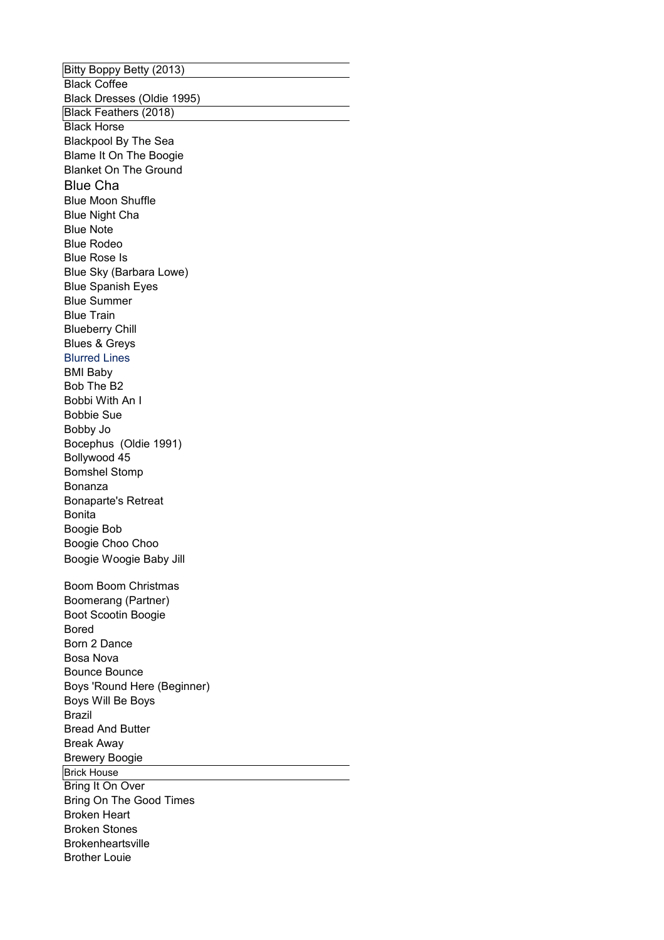Bitty Boppy Betty (2013) **Black Coffee** Black Dresses (Oldie 1995) Black Feathers (2018) Black Horse Blackpool By The Sea Blame It On The Boogie Blanket On The Ground Blue Cha Blue Moon Shuffle Blue Night Cha Blue Note Blue Rodeo Blue Rose Is Blue Sky (Barbara Lowe) Blue Spanish Eyes Blue Summer Blue Train Blueberry Chill Blues & Greys Blurred Lines BMI Baby Bob The B2 Bobbi With An I Bobbie Sue Bobby Jo Bocephus (Oldie 1991) Bollywood 45 Bomshel Stomp Bonanza Bonaparte's Retreat Bonita Boogie Bob Boogie Choo Choo Boom Boom Christmas Boot Scootin Boogie Bored Born 2 Dance Bosa Nova Bounce Bounce Boys 'Round Here (Beginner) Boys Will Be Boys Brazil Bread And Butter Break Away Brewery Boogie Brick House Bring It On Over Bring On The Good Times Broken Heart Broken Stones **Brokenheartsville** Brother Louie Boogie Woogie Baby Jill Boomerang (Partner)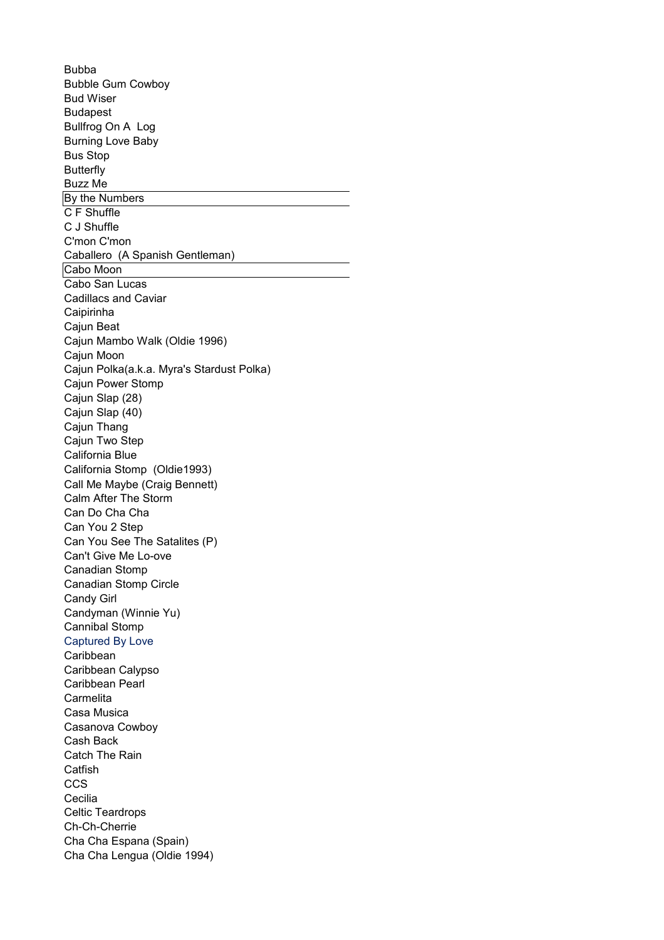Bubba Bubble Gum Cowboy Bud Wiser Budapest Bullfrog On A Log Burning Love Baby Bus Stop **Butterfly** Buzz Me By the Numbers C F Shuffle C J Shuffle C'mon C'mon Caballero (A Spanish Gentleman) Cabo Moon Cabo San Lucas Cadillacs and Caviar Caipirinha Cajun Beat Cajun Mambo Walk (Oldie 1996) Cajun Moon Cajun Polka(a.k.a. Myra's Stardust Polka) Cajun Power Stomp Cajun Slap (28) Cajun Slap (40) Cajun Thang Cajun Two Step California Blue California Stomp (Oldie1993) Calm After The Storm Can Do Cha Cha Can You 2 Step Can You See The Satalites (P) Can't Give Me Lo-ove Canadian Stomp Canadian Stomp Circle Candy Girl Candyman (Winnie Yu) Cannibal Stomp Captured By Love Caribbean Caribbean Calypso Caribbean Pearl Carmelita Casa Musica Casanova Cowboy Cash Back Catch The Rain **Catfish CCS Cecilia** Celtic Teardrops Ch-Ch-Cherrie Cha Cha Espana (Spain) Cha Cha Lengua (Oldie 1994) Call Me Maybe (Craig Bennett)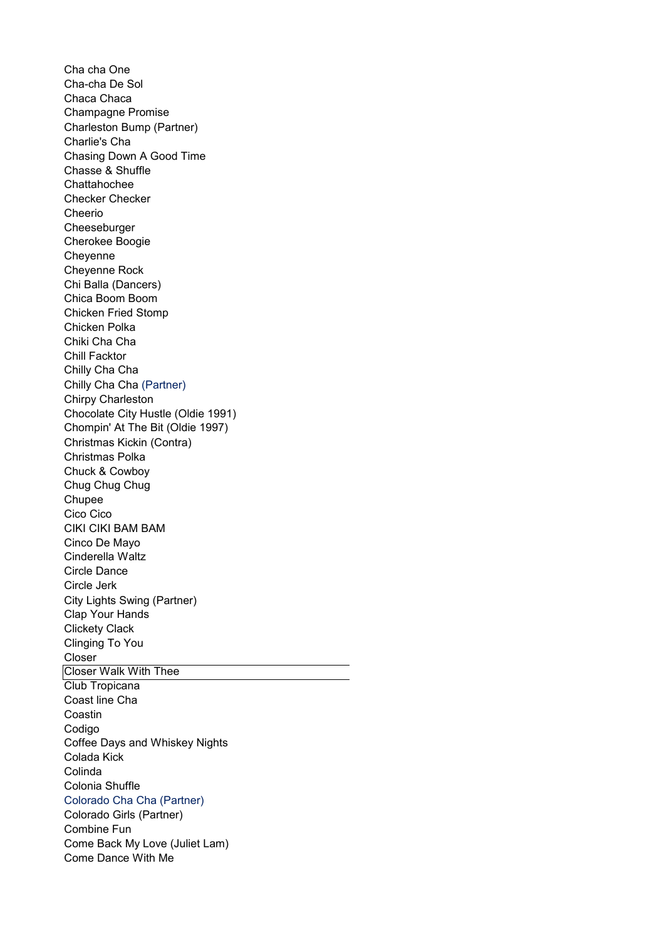Cha cha One Cha-cha De Sol Chaca Chaca Champagne Promise Charlie's Cha Chasing Down A Good Time Chasse & Shuffle Chattahochee Checker Checker Cheerio **Cheeseburger** Cherokee Boogie Cheyenne Cheyenne Rock Chi Balla (Dancers) Chica Boom Boom Chicken Fried Stomp Chicken Polka Chiki Cha Cha Chill Facktor Chilly Cha Cha Chirpy Charleston Chocolate City Hustle (Oldie 1991) Chompin' At The Bit (Oldie 1997) Christmas Polka Chuck & Cowboy Chug Chug Chug Chupee Cico Cico CIKI CIKI BAM BAM Cinco De Mayo Cinderella Waltz Circle Dance Circle Jerk Clap Your Hands Clickety Clack Clinging To You Closer Closer Walk With Thee Club Tropicana Coast line Cha Coastin Codigo Coffee Days and Whiskey Nights Colada Kick Colinda Colonia Shuffle Colorado Cha Cha (Partner) Combine Fun Come Back My Love (Juliet Lam) Come Dance With Me Charleston Bump (Partner) Chilly Cha Cha (Partner) Christmas Kickin (Contra) City Lights Swing (Partner) Colorado Girls (Partner)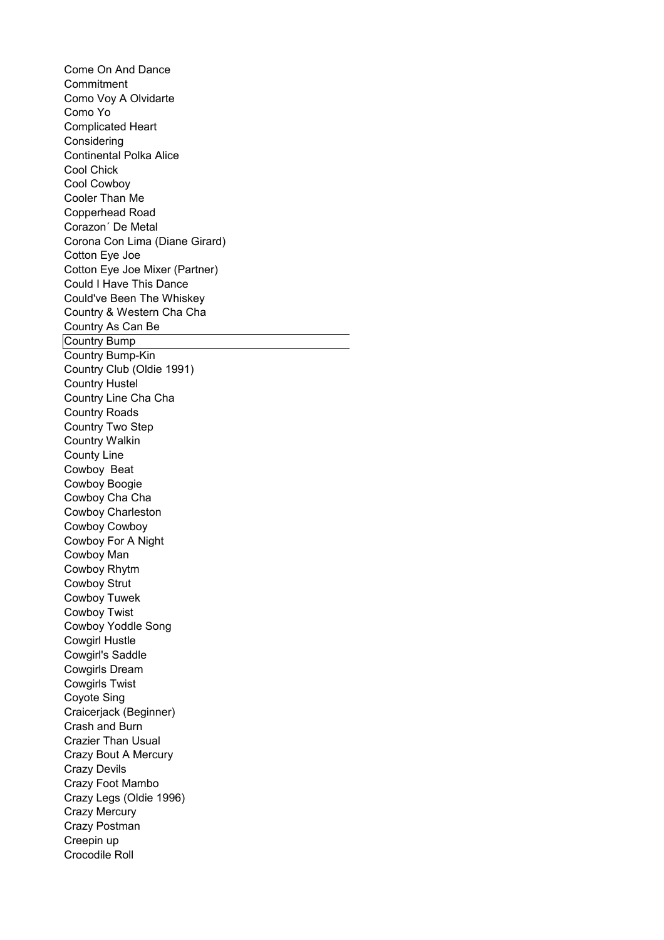Come On And Dance **Commitment** Como Voy A Olvidarte Como Yo Complicated Heart Considering Continental Polka Alice Cool Chick Cool Cowboy Cooler Than Me Copperhead Road Corazon´ De Metal Corona Con Lima (Diane Girard) Cotton Eye Joe Cotton Eye Joe Mixer (Partner) Could I Have This Dance Country & Western Cha Cha Country As Can Be Country Bump Country Bump-Kin Country Club (Oldie 1991) Country Hustel Country Line Cha Cha Country Roads Country Two Step Country Walkin County Line Cowboy Beat Cowboy Boogie Cowboy Cha Cha Cowboy Charleston Cowboy Cowboy Cowboy For A Night Cowboy Man Cowboy Rhytm Cowboy Strut Cowboy Tuwek Cowboy Twist Cowboy Yoddle Song Cowgirl Hustle Cowgirl's Saddle Cowgirls Dream Cowgirls Twist Coyote Sing Craicerjack (Beginner) Crash and Burn Crazier Than Usual Crazy Bout A Mercury Crazy Devils Crazy Foot Mambo Crazy Legs (Oldie 1996) Crazy Mercury Crazy Postman Creepin up Crocodile Roll Could've Been The Whiskey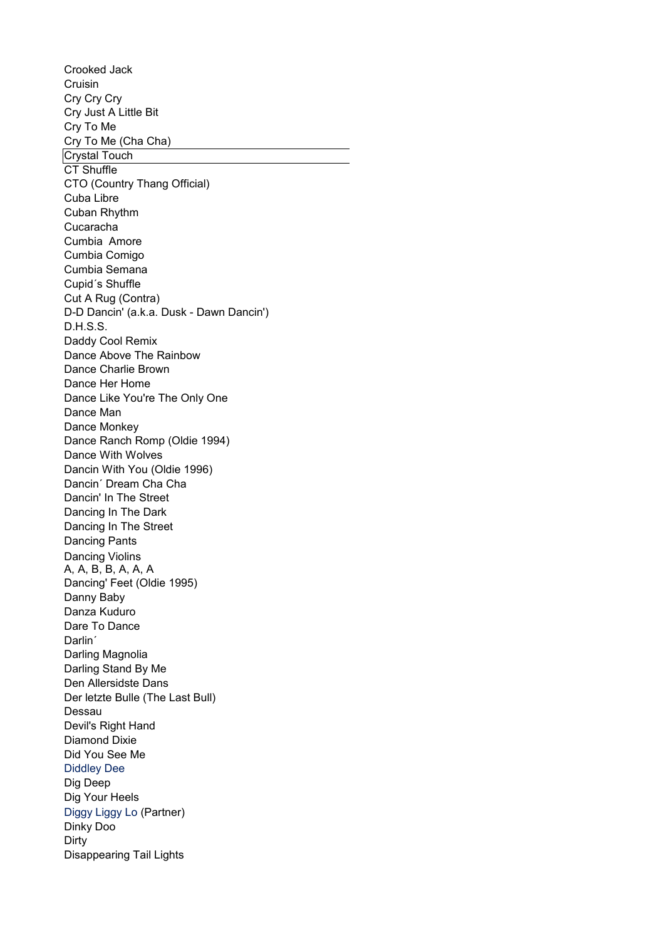Crooked Jack Cruisin Cry Cry Cry Cry Just A Little Bit Cry To Me Cry To Me (Cha Cha) Crystal Touch CT Shuffle CTO (Country Thang Official) Cuba Libre Cuban Rhythm Cucaracha Cumbia Amore Cumbia Comigo Cumbia Semana Cupid´s Shuffle Cut A Rug (Contra) D-D Dancin' (a.k.a. Dusk - Dawn Dancin') D.H.S.S. Daddy Cool Remix Dance Above The Rainbow Dance Charlie Brown Dance Her Home Dance Like You're The Only One Dance Man Dance Monkey Dance Ranch Romp (Oldie 1994) Dance With Wolves Dancin With You (Oldie 1996) Dancin´ Dream Cha Cha Dancin' In The Street Dancing In The Dark Dancing In The Street Dancing Pants Dancing' Feet (Oldie 1995) Danny Baby Danza Kuduro Dare To Dance Darlin´ Darling Magnolia Darling Stand By Me Den Allersidste Dans Der letzte Bulle (The Last Bull) Dessau Devil's Right Hand Diamond Dixie Did You See Me Diddley Dee Dig Deep Dinky Doo Dirty Disappearing Tail Lights Dancing Violins A, A, B, B, A, A, A Dig Your Heels Diggy Liggy Lo (Partner)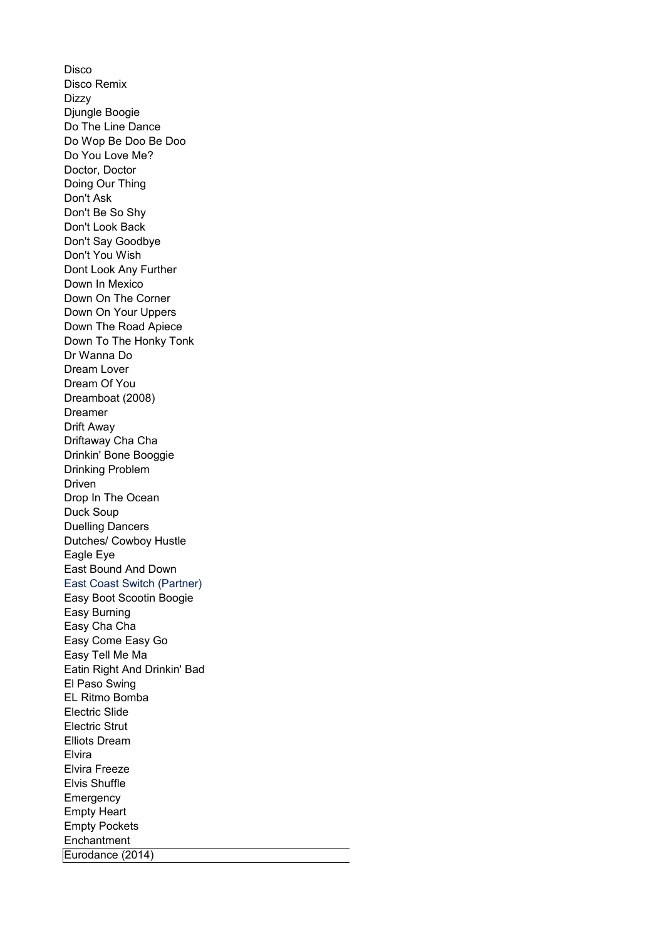Disco Disco Remix Dizzy Djungle Boogie Do The Line Dance Do Wop Be Doo Be Doo Do You Love Me? Doctor, Doctor Doing Our Thing Don't Ask Don't Be So Shy Don't Look Back Don't Say Goodbye Don't You Wish Dont Look Any Further Down In Mexico Down On The Corner Down On Your Uppers Down The Road Apiece Down To The Honky Tonk Dr Wanna Do Dream Lover Dream Of You Dreamboat (2008) Dreamer Drift Away Drinkin' Bone Booggie Drinking Problem Driven Drop In The Ocean Duck Soup Duelling Dancers Dutches/ Cowboy Hustle Eagle Eye East Bound And Down East Coast Switch (Partner) Easy Boot Scootin Boogie Easy Burning Easy Cha Cha Easy Come Easy Go Easy Tell Me Ma Eatin Right And Drinkin' Bad El Paso Swing EL Ritmo Bomba Electric Slide Electric Strut Elliots Dream Elvira Elvira Freeze Elvis Shuffle **Emergency** Empty Heart Empty Pockets **Enchantment** Eurodance (2014) Driftaway Cha Cha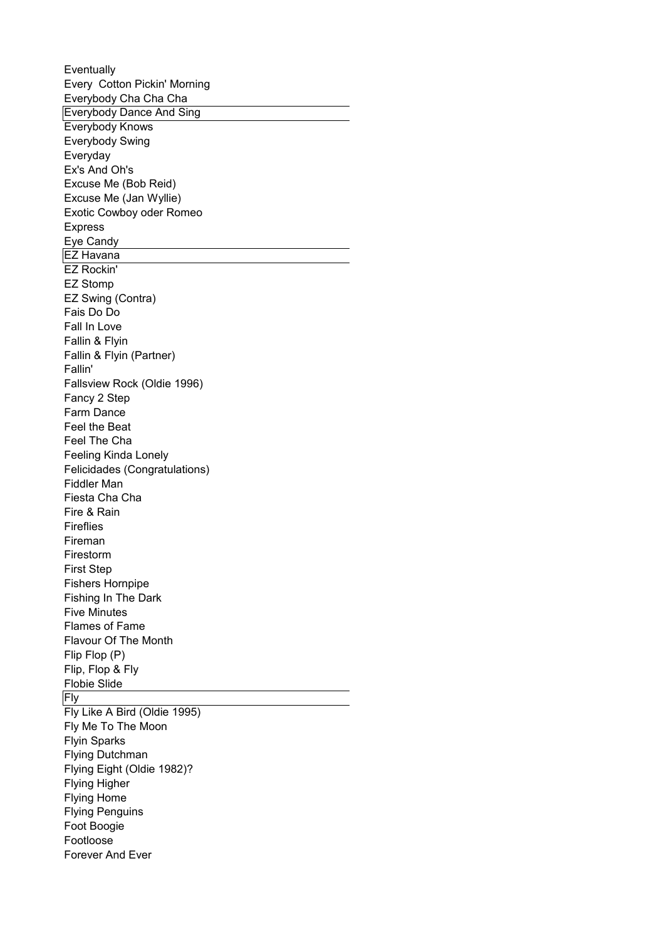**Eventually** Everybody Cha Cha Cha Everybody Dance And Sing Everybody Knows Everybody Swing Everyday Ex's And Oh's Excuse Me (Bob Reid) Excuse Me (Jan Wyllie) Exotic Cowboy oder Romeo Express Eye Candy EZ Havana EZ Rockin' EZ Stomp EZ Swing (Contra) Fais Do Do Fall In Love Fallin & Flyin Fallin & Flyin (Partner) Fallin' Fallsview Rock (Oldie 1996) Fancy 2 Step Farm Dance Feel the Beat Feel The Cha Feeling Kinda Lonely Felicidades (Congratulations) Fiddler Man Fiesta Cha Cha Fire & Rain Fireflies Fireman Firestorm First Step Fishers Hornpipe Fishing In The Dark Five Minutes Flames of Fame Flavour Of The Month Flip Flop (P) Flip, Flop & Fly Flobie Slide Fly Fly Like A Bird (Oldie 1995) Fly Me To The Moon Flyin Sparks Flying Dutchman Flying Eight (Oldie 1982)? Flying Higher Flying Home Flying Penguins Foot Boogie Footloose Forever And Ever Every Cotton Pickin' Morning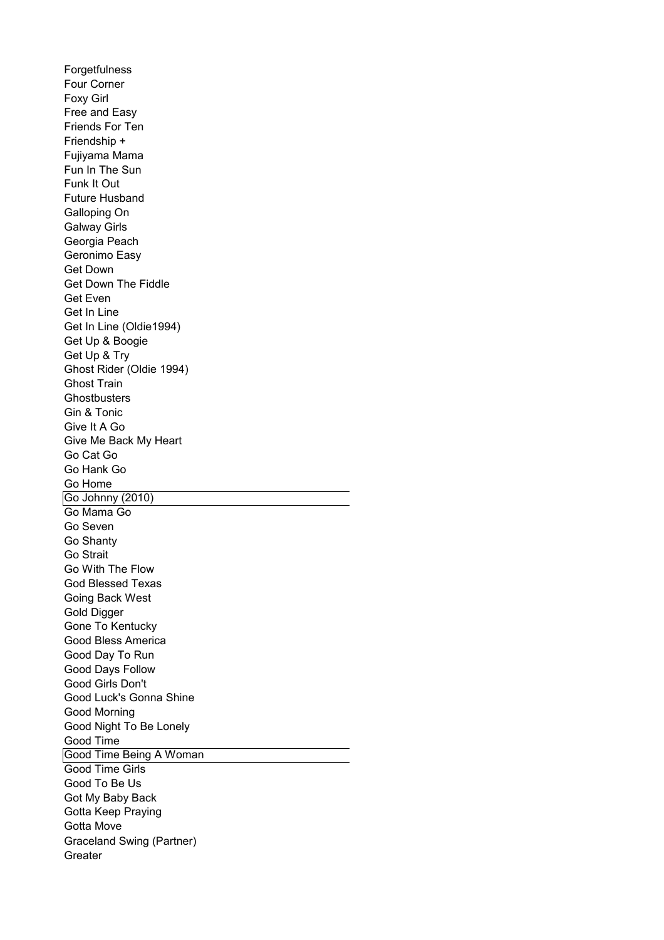**Forgetfulness** Four Corner Foxy Girl Free and Easy Friends For Ten Friendship + Fujiyama Mama Fun In The Sun Funk It Out Future Husband Galloping On Galway Girls Georgia Peach Geronimo Easy Get Down Get Down The Fiddle Get Even Get In Line Get In Line (Oldie1994) Get Up & Boogie Get Up & Try Ghost Rider (Oldie 1994) Ghost Train **Ghostbusters** Gin & Tonic Give It A Go Give Me Back My Heart Go Cat Go Go Hank Go Go Home Go Johnny (2010) Go Mama Go Go Seven Go Shanty Go Strait Go With The Flow God Blessed Texas Going Back West Gold Digger Gone To Kentucky Good Bless America Good Day To Run Good Days Follow Good Girls Don't Good Luck's Gonna Shine Good Morning Good Night To Be Lonely Good Time Good Time Being A Woman Good Time Girls Good To Be Us Got My Baby Back Gotta Keep Praying Gotta Move **Greater** Graceland Swing (Partner)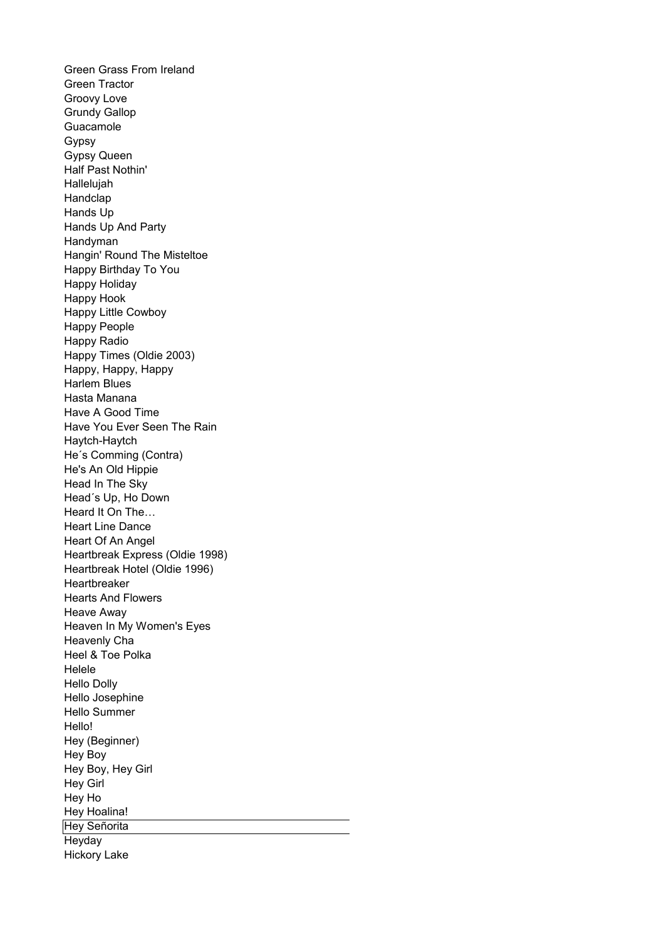Green Grass From Ireland Green Tractor Groovy Love Grundy Gallop Guacamole Gypsy Gypsy Queen Half Past Nothin' Hallelujah Handclap Hands Up Hands Up And Party Handyman Hangin' Round The Misteltoe Happy Birthday To You Happy Holiday Happy Hook Happy Little Cowboy Happy People Happy Radio Happy Times (Oldie 2003) Happy, Happy, Happy Harlem Blues Hasta Manana Have A Good Time Have You Ever Seen The Rain Haytch-Haytch He´s Comming (Contra) He's An Old Hippie Head In The Sky Head´s Up, Ho Down Heard It On The… Heart Line Dance Heart Of An Angel Heartbreak Express (Oldie 1998) Heartbreak Hotel (Oldie 1996) Heartbreaker Hearts And Flowers Heave Away Heaven In My Women's Eyes Heavenly Cha Heel & Toe Polka Helele Hello Dolly Hello Josephine Hello Summer Hello! Hey (Beginner) Hey Boy Hey Boy, Hey Girl Hey Girl Hey Ho Hey Hoalina! Hey Señorita **Heyday** Hickory Lake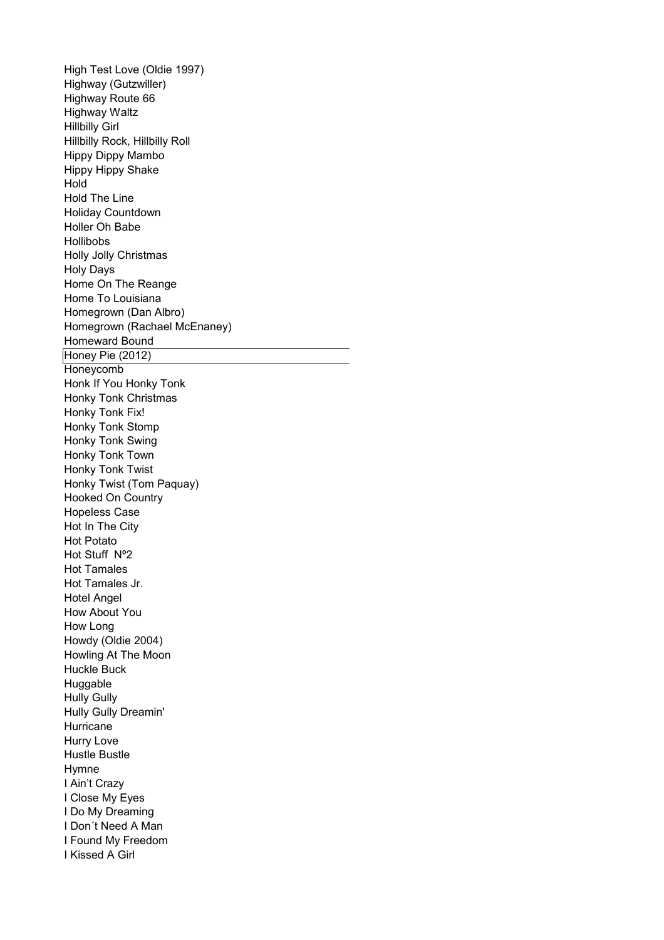High Test Love (Oldie 1997) Highway (Gutzwiller) Highway Route 66 Highway Waltz Hillbilly Girl Hillbilly Rock, Hillbilly Roll Hippy Dippy Mambo Hippy Hippy Shake Hold Hold The Line Holiday Countdown Holler Oh Babe Hollibobs Holly Jolly Christmas Holy Days Home On The Reange Home To Louisiana Homegrown (Dan Albro) Homegrown (Rachael McEnaney) Homeward Bound Honey Pie (2012) Honeycomb Honk If You Honky Tonk Honky Tonk Christmas Honky Tonk Fix! Honky Tonk Stomp Honky Tonk Swing Honky Tonk Town Honky Tonk Twist Honky Twist (Tom Paquay) Hooked On Country Hopeless Case Hot In The City Hot Potato Hot Stuff Nº2 Hot Tamales Hot Tamales Jr. Hotel Angel How About You How Long Howdy (Oldie 2004) Howling At The Moon Huckle Buck Huggable Hully Gully Hully Gully Dreamin' Hurricane Hurry Love Hustle Bustle Hymne I Ain't Crazy I Close My Eyes I Do My Dreaming I Don´t Need A Man I Found My Freedom I Kissed A Girl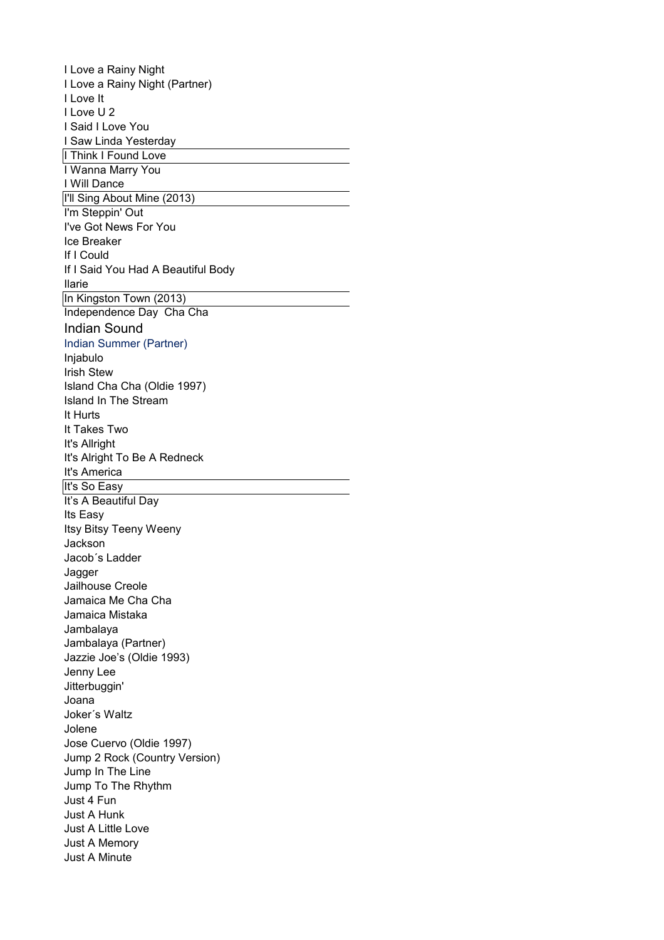I Love a Rainy Night I Love a Rainy Night (Partner) I Love It I Love U 2 I Said I Love You I Saw Linda Yesterday I Think I Found Love I Wanna Marry You I Will Dance I'll Sing About Mine (2013) I'm Steppin' Out I've Got News For You Ice Breaker If I Could If I Said You Had A Beautiful Body Ilarie In Kingston Town (2013) Independence Day Cha Cha Indian Sound Indian Summer (Partner) Injabulo Irish Stew Island Cha Cha (Oldie 1997) Island In The Stream It Hurts It Takes Two It's Allright It's Alright To Be A Redneck It's America It's So Easy It's A Beautiful Day Its Easy Itsy Bitsy Teeny Weeny Jackson Jacob´s Ladder Jagger Jailhouse Creole Jamaica Me Cha Cha Jamaica Mistaka Jambalaya Jambalaya (Partner) Jazzie Joe's (Oldie 1993) Jenny Lee Jitterbuggin' Joana Joker´s Waltz Jolene Jose Cuervo (Oldie 1997) Jump 2 Rock (Country Version) Jump In The Line Jump To The Rhythm Just 4 Fun Just A Hunk Just A Little Love Just A Memory Just A Minute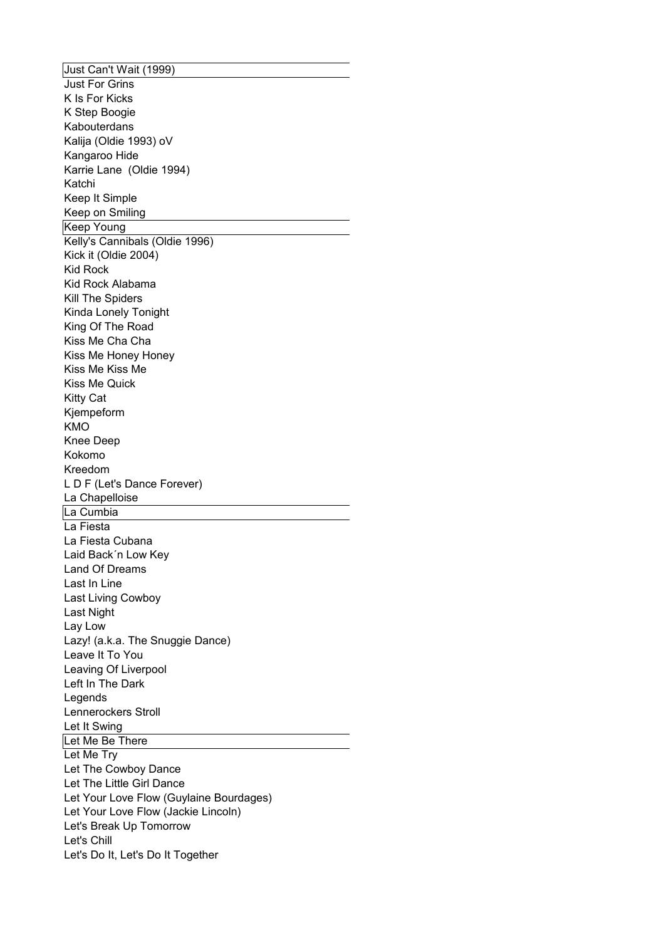Just Can't Wait (1999) Just For Grins K Is For Kicks K Step Boogie Kabouterdans Kalija (Oldie 1993) oV Kangaroo Hide Karrie Lane (Oldie 1994) Katchi Keep It Simple Keep on Smiling Keep Young Kelly's Cannibals (Oldie 1996) Kick it (Oldie 2004) Kid Rock Kid Rock Alabama Kill The Spiders Kinda Lonely Tonight King Of The Road Kiss Me Cha Cha Kiss Me Honey Honey Kiss Me Kiss Me Kiss Me Quick Kitty Cat Kjempeform KMO Knee Deep Kokomo Kreedom L D F (Let's Dance Forever) La Chapelloise La Cumbia La Fiesta La Fiesta Cubana Laid Back´n Low Key Land Of Dreams Last In Line Last Living Cowboy Last Night Lay Low Lazy! (a.k.a. The Snuggie Dance) Leave It To You Leaving Of Liverpool Left In The Dark **Legends** Lennerockers Stroll Let It Swing Let Me Be There Let Me Try Let The Cowboy Dance Let The Little Girl Dance Let Your Love Flow (Guylaine Bourdages) Let Your Love Flow (Jackie Lincoln) Let's Break Up Tomorrow Let's Chill Let's Do It, Let's Do It Together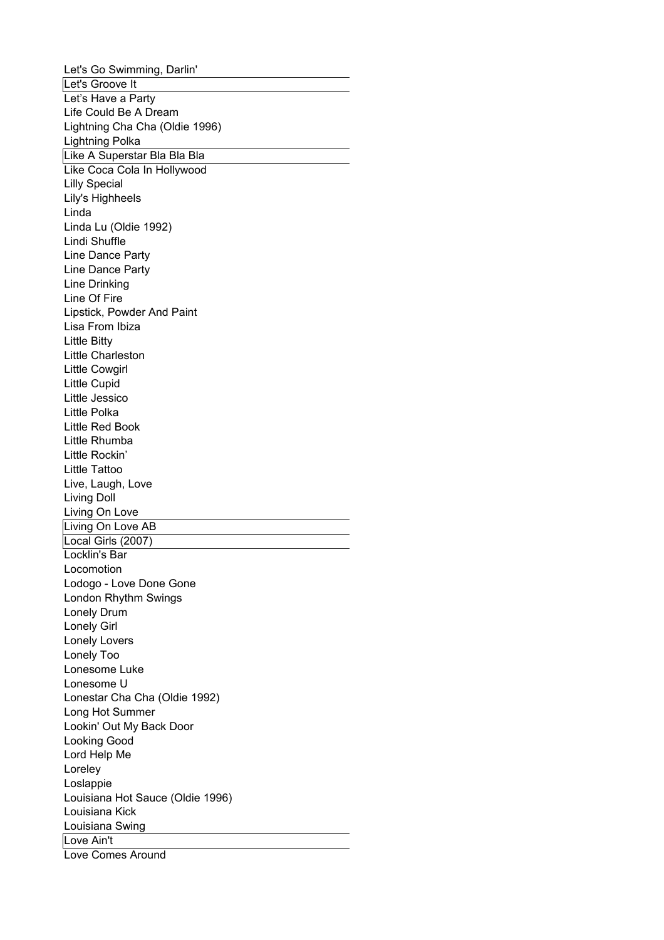Let's Go Swimming, Darlin' Let's Groove It Let's Have a Party Life Could Be A Dream Lightning Cha Cha (Oldie 1996) Lightning Polka Like A Superstar Bla Bla Bla Like Coca Cola In Hollywood Lilly Special Lily's Highheels Linda Linda Lu (Oldie 1992) Lindi Shuffle Line Dance Party Line Dance Party Line Drinking Line Of Fire Lipstick, Powder And Paint Lisa From Ibiza Little Bitty Little Charleston Little Cowgirl Little Cupid Little Jessico Little Polka Little Red Book Little Rhumba Little Rockin' Little Tattoo Live, Laugh, Love Living Doll Living On Love Living On Love AB Local Girls (2007) Locklin's Bar Locomotion Lodogo - Love Done Gone London Rhythm Swings Lonely Drum Lonely Girl Lonely Lovers Lonely Too Lonesome Luke Lonesome U Lonestar Cha Cha (Oldie 1992) Long Hot Summer Lookin' Out My Back Door Looking Good Lord Help Me Loreley Loslappie Louisiana Hot Sauce (Oldie 1996) Louisiana Kick Louisiana Swing Love Ain't Love Comes Around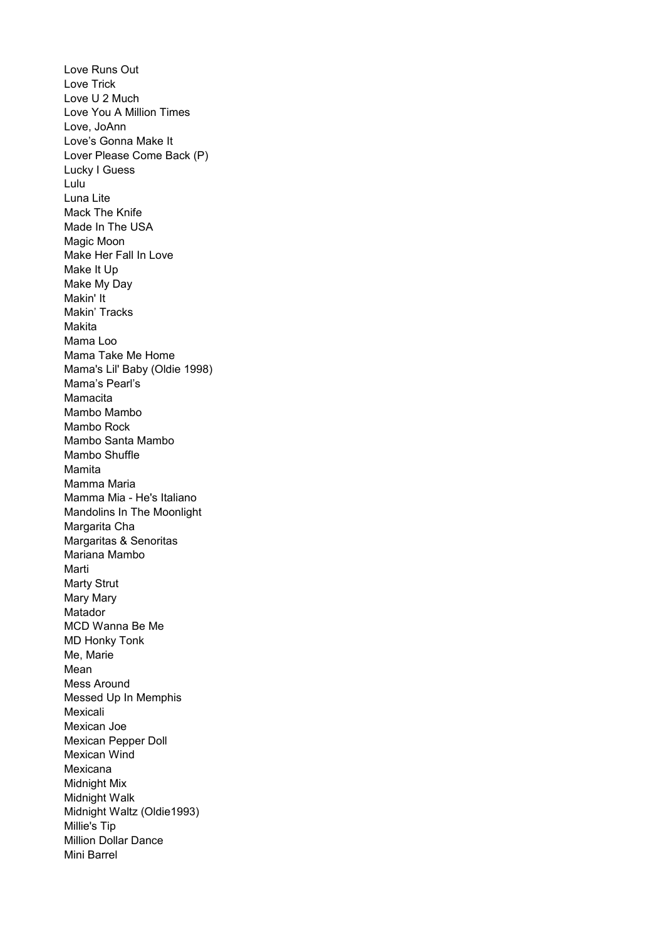Love Trick Love U 2 Much Love You A Million Times Love, JoAnn Love's Gonna Make It Lover Please Come Back (P) Lucky I Guess Lulu Luna Lite Mack The Knife Made In The USA Magic Moon Make Her Fall In Love Make It Up Make My Day Makin' It Makin' Tracks Makita Mama Loo Mama Take Me Home Mama's Pearl's Mamacita Mambo Mambo Mambo Rock Mambo Santa Mambo Mambo Shuffle Mamita Mamma Maria Mamma Mia - He's Italiano Mandolins In The Moonlight Margarita Cha Margaritas & Senoritas Mariana Mambo Marti Marty Strut Mary Mary Matador MCD Wanna Be Me MD Honky Tonk Me, Marie Mean Mess Around Messed Up In Memphis Mexicali Mexican Joe Mexican Pepper Doll Mexican Wind Mexicana Midnight Mix Midnight Walk Midnight Waltz (Oldie1993) Millie's Tip Million Dollar Dance Mini Barrel Love Runs Out Mama's Lil' Baby (Oldie 1998)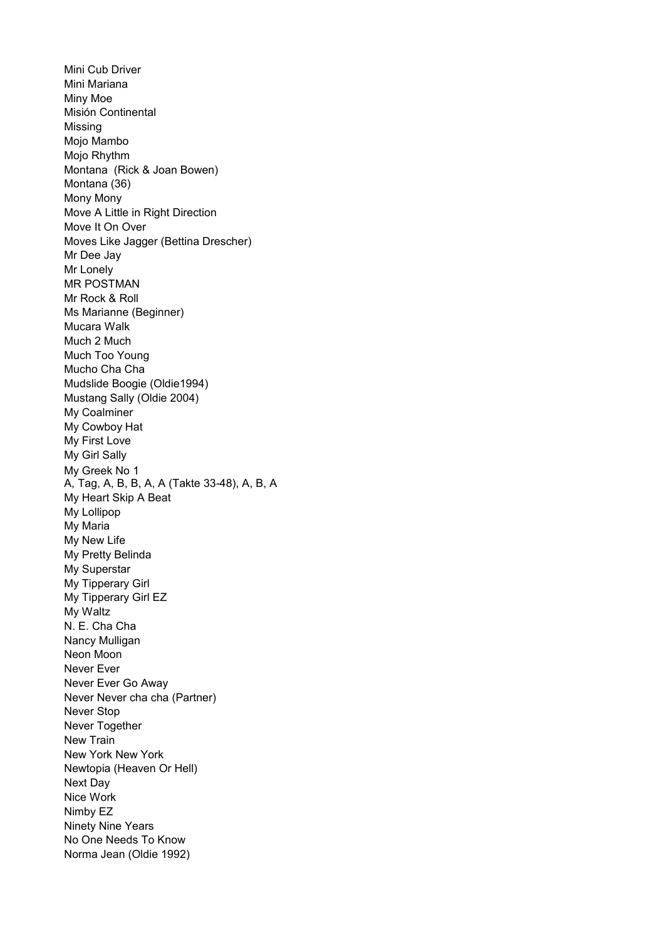Mini Cub Driver Mini Mariana Miny Moe Misión Continental Missing Mojo Mambo Mojo Rhythm Montana (Rick & Joan Bowen) Montana (36) Mony Mony Move A Little in Right Direction Move It On Over Moves Like Jagger (Bettina Drescher) Mr Dee Jay Mr Lonely MR POSTMAN Mr Rock & Roll Ms Marianne (Beginner) Mucara Walk Much 2 Much Much Too Young Mucho Cha Cha Mudslide Boogie (Oldie1994) Mustang Sally (Oldie 2004) My Coalminer My Cowboy Hat My First Love My Girl Sally My Heart Skip A Beat My Lollipop My Maria My New Life My Pretty Belinda My Superstar My Waltz N. E. Cha Cha Neon Moon Never Ever Never Ever Go Away Never Never cha cha (Partner) Never Stop Never Together New Train New York New York Newtopia (Heaven Or Hell) Next Day Nice Work Nimby EZ Ninety Nine Years No One Needs To Know Norma Jean (Oldie 1992) My Greek No 1 A, Tag, A, B, B, A, A (Takte 33-48), A, B, A My Tipperary Girl My Tipperary Girl EZ Nancy Mulligan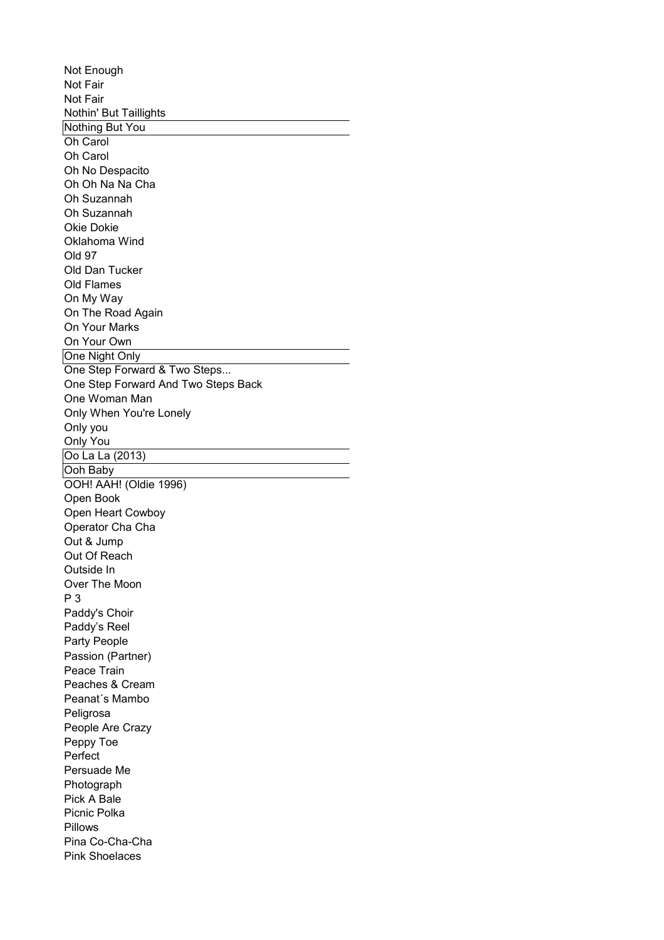Not Fair Not Fair Nothin' But Taillights Nothing But You Oh Carol Oh Carol Oh No Despacito Oh Oh Na Na Cha Oh Suzannah Oh Suzannah Okie Dokie Oklahoma Wind Old 97 Old Dan Tucker On My Way On The Road Again On Your Marks On Your Own One Night Only One Step Forward & Two Steps... One Step Forward And Two Steps Back One Woman Man Only When You're Lonely Only you Only You Oo La La (2013) Ooh Baby OOH! AAH! (Oldie 1996) Open Book Open Heart Cowboy Operator Cha Cha Out & Jump Out Of Reach Outside In Over The Moon P 3 Paddy's Choir Paddy's Reel Party People Peace Train Peaches & Cream Peanat´s Mambo Peligrosa People Are Crazy Peppy Toe Perfect Persuade Me Photograph Pick A Bale Picnic Polka Pillows Pina Co-Cha-Cha Pink Shoelaces Not Enough Old Flames Passion (Partner)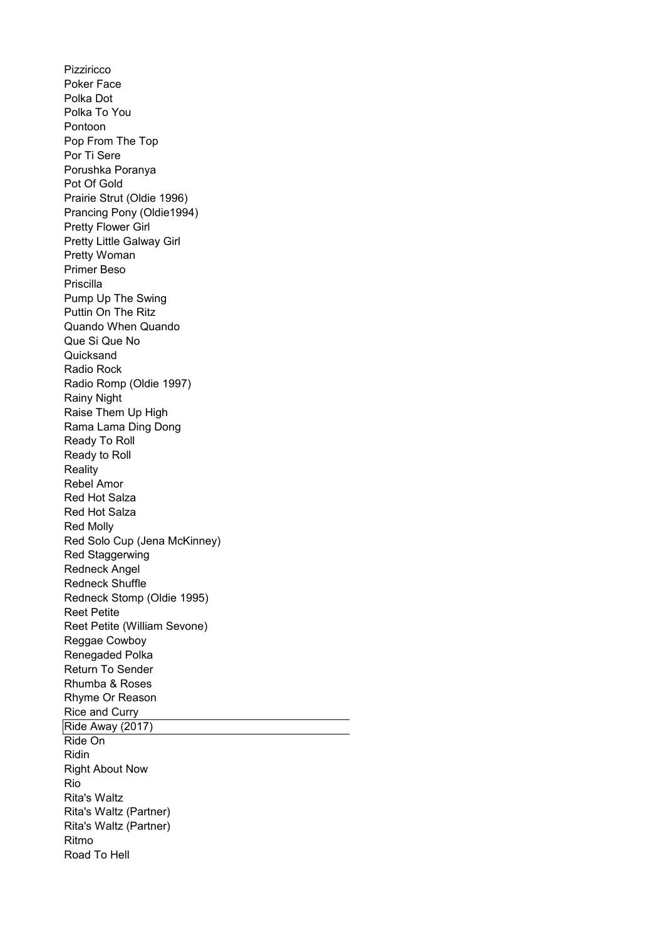Pizziricco Poker Face Polka Dot Polka To You Pontoon Pop From The Top Por Ti Sere Porushka Poranya Pot Of Gold Prairie Strut (Oldie 1996) Prancing Pony (Oldie1994) Pretty Flower Girl Pretty Woman Primer Beso Priscilla Pump Up The Swing Puttin On The Ritz Quando When Quando Que Si Que No **Quicksand** Radio Rock Radio Romp (Oldie 1997) Rainy Night Raise Them Up High Rama Lama Ding Dong Ready To Roll Ready to Roll **Reality** Rebel Amor Red Hot Salza Red Hot Salza Red Molly Red Solo Cup (Jena McKinney) Red Staggerwing Redneck Angel Redneck Shuffle Redneck Stomp (Oldie 1995) Reet Petite Reet Petite (William Sevone) Reggae Cowboy Renegaded Polka Return To Sender Rhumba & Roses Rhyme Or Reason Rice and Curry Ride Away (2017) Ride On Ridin Right About Now Rio Rita's Waltz Rita's Waltz (Partner) Rita's Waltz (Partner) Ritmo Road To Hell Pretty Little Galway Girl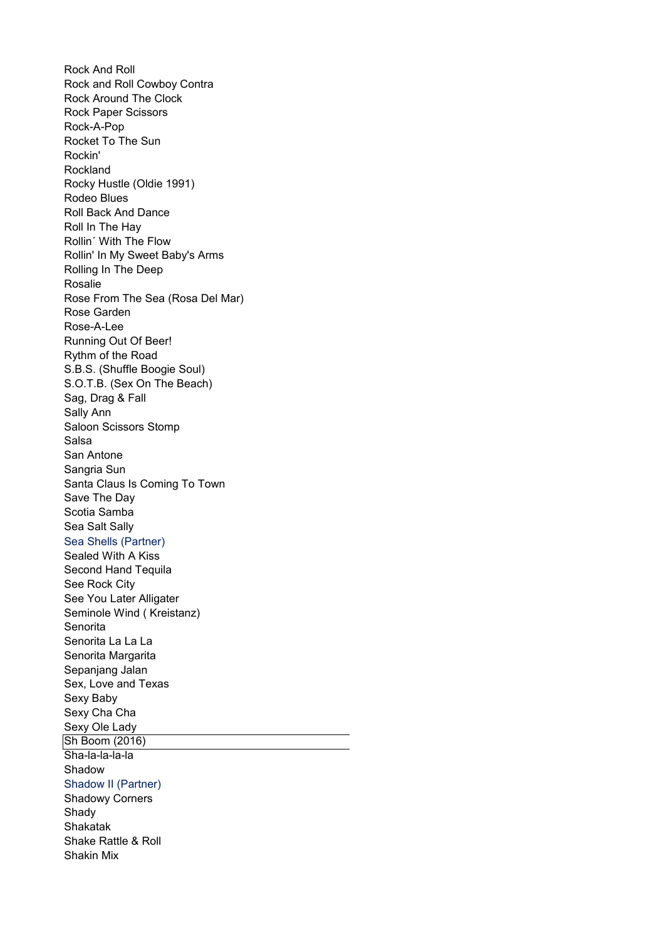Rock and Roll Cowboy Contra Rock Around The Clock Rock Paper Scissors Rock-A-Pop Rocket To The Sun Rockin' Rockland Rocky Hustle (Oldie 1991) Rodeo Blues Roll Back And Dance Roll In The Hay Rollin´ With The Flow Rollin' In My Sweet Baby's Arms Rolling In The Deep Rosalie Rose From The Sea (Rosa Del Mar) Rose Garden Rose-A-Lee Running Out Of Beer! Rythm of the Road S.B.S. (Shuffle Boogie Soul) S.O.T.B. (Sex On The Beach) Sag, Drag & Fall Sally Ann Saloon Scissors Stomp Salsa San Antone Sangria Sun Santa Claus Is Coming To Town Save The Day Scotia Samba Sea Salt Sally Sealed With A Kiss Second Hand Tequila See Rock City See You Later Alligater Seminole Wind ( Kreistanz) **Senorita** Senorita La La La Senorita Margarita Sepanjang Jalan Sex, Love and Texas Sexy Baby Sexy Cha Cha Sexy Ole Lady Sh Boom (2016) Sha-la-la-la-la Shadow Shadow II (Partner) Shadowy Corners Shady Shakatak Shake Rattle & Roll Shakin Mix Rock And Roll Sea Shells (Partner)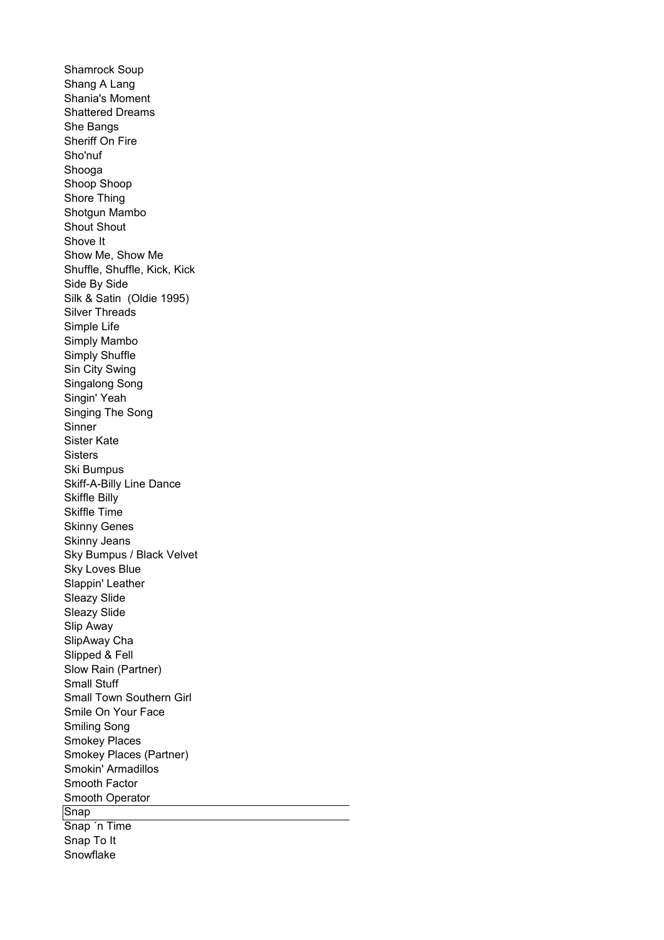Shamrock Soup Shang A Lang Shania's Moment Shattered Dreams She Bangs Sheriff On Fire Sho'nuf Shooga Shoop Shoop Shore Thing Shotgun Mambo Shout Shout Shove It Show Me, Show Me Shuffle, Shuffle, Kick, Kick Side By Side Silk & Satin (Oldie 1995) Silver Threads Simple Life Simply Mambo Simply Shuffle Sin City Swing Singalong Song Singin' Yeah Singing The Song Sinner Sister Kate **Sisters** Ski Bumpus Skiff-A-Billy Line Dance Skiffle Billy Skiffle Time Skinny Genes Skinny Jeans Sky Bumpus / Black Velvet Sky Loves Blue Slappin' Leather Sleazy Slide Sleazy Slide Slip Away SlipAway Cha Slipped & Fell Slow Rain (Partner) Small Stuff Small Town Southern Girl Smile On Your Face Smiling Song Smokey Places Smokey Places (Partner) Smokin' Armadillos Smooth Factor Smooth Operator **Snap** Snap ´n Time Snap To It Snowflake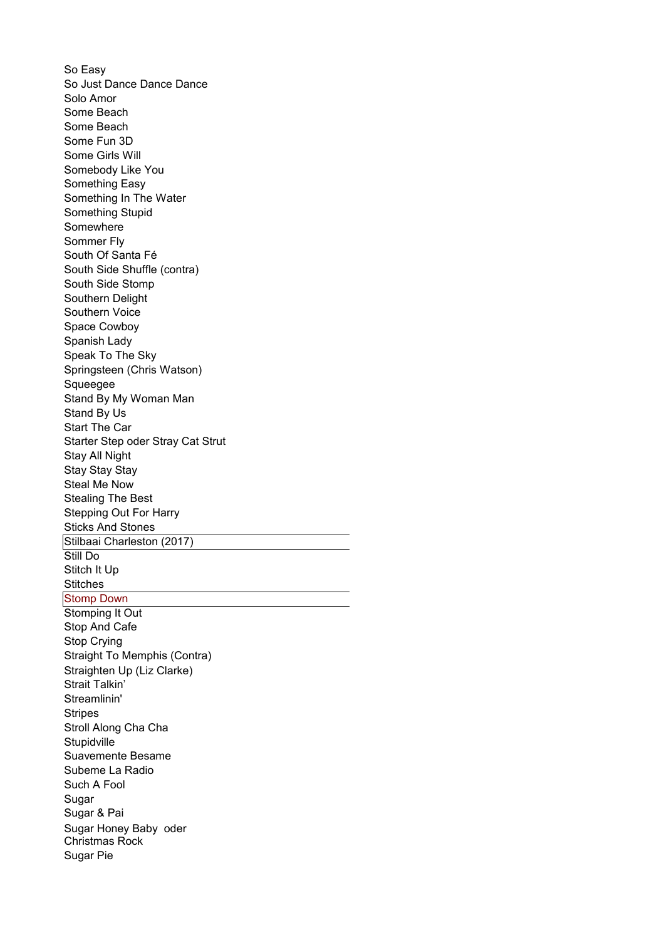So Easy So Just Dance Dance Dance Solo Amor Some Beach Some Beach Some Fun 3D Some Girls Will Somebody Like You Something Easy Something In The Water Something Stupid Somewhere Sommer Fly South Of Santa Fé South Side Shuffle (contra) South Side Stomp Southern Delight Southern Voice Space Cowboy Spanish Lady Speak To The Sky Squeegee Stand By My Woman Man Stand By Us Start The Car Starter Step oder Stray Cat Strut Stay All Night Stay Stay Stay Steal Me Now Stealing The Best Stepping Out For Harry Sticks And Stones Stilbaai Charleston (2017) Still Do Stitch It Up **Stitches Stomp Down** Stomping It Out Stop And Cafe Stop Crying Straight To Memphis (Contra) Strait Talkin' Streamlinin' **Stripes** Stroll Along Cha Cha **Stupidville** Suavemente Besame Subeme La Radio Such A Fool Sugar Sugar & Pai Sugar Pie Springsteen (Chris Watson) Straighten Up (Liz Clarke) Sugar Honey Baby oder Christmas Rock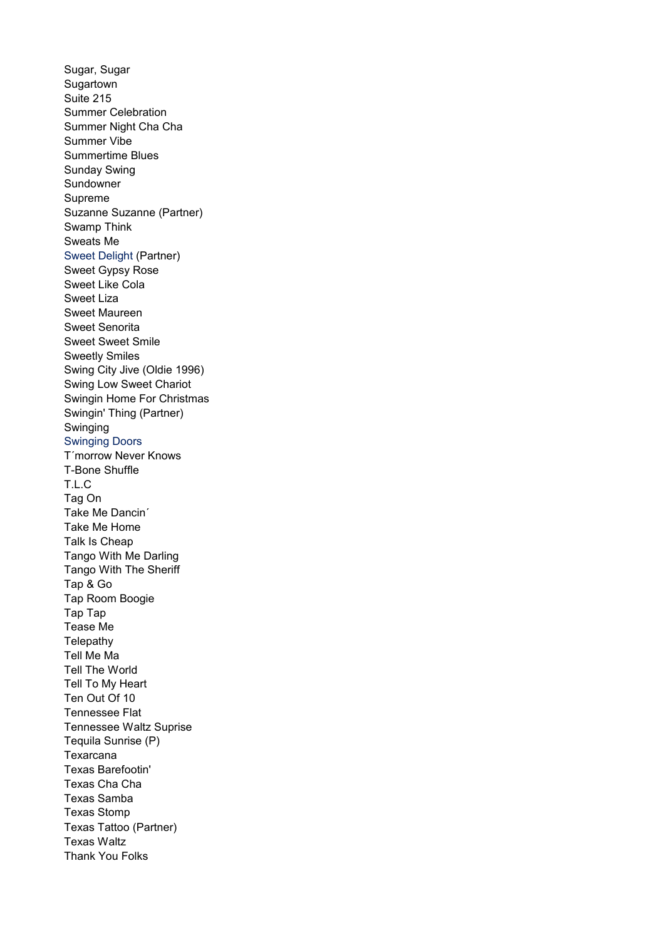Sugar, Sugar Sugartown Suite 215 Summer Celebration Summer Night Cha Cha Summer Vibe Summertime Blues Sunday Swing Sundowner Supreme Suzanne Suzanne (Partner) Swamp Think Sweats Me Sweet Gypsy Rose Sweet Like Cola Sweet Liza Sweet Maureen Sweet Senorita Sweet Sweet Smile Sweetly Smiles Swing City Jive (Oldie 1996) Swing Low Sweet Chariot Swingin Home For Christmas Swingin' Thing (Partner) Swinging Swinging Doors T´morrow Never Knows T-Bone Shuffle T.L.C Tag On Take Me Dancin´ Take Me Home Talk Is Cheap Tango With Me Darling Tango With The Sheriff Tap & Go Tap Room Boogie Tap Tap Tease Me **Telepathy** Tell Me Ma Tell The World Tell To My Heart Ten Out Of 10 Tennessee Flat Tennessee Waltz Suprise Tequila Sunrise (P) Texarcana Texas Barefootin' Texas Cha Cha Texas Samba Texas Stomp Texas Waltz Thank You Folks Sweet Delight (Partner) Texas Tattoo (Partner)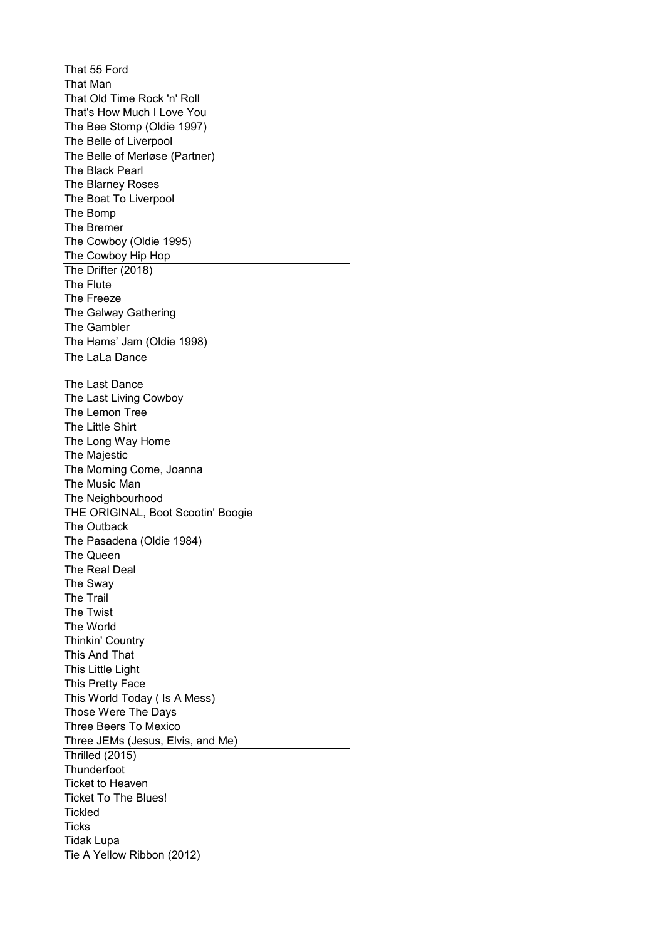That 55 Ford That Man That Old Time Rock 'n' Roll That's How Much I Love You The Bee Stomp (Oldie 1997) The Belle of Liverpool The Black Pearl The Blarney Roses The Boat To Liverpool The Bomp The Bremer The Cowboy (Oldie 1995) The Cowboy Hip Hop The Drifter (2018) The Flute The Freeze The Galway Gathering The Gambler The Hams' Jam (Oldie 1998) The Last Dance The Last Living Cowboy The Lemon Tree The Little Shirt The Long Way Home The Majestic The Morning Come, Joanna The Music Man The Neighbourhood THE ORIGINAL, Boot Scootin' Boogie The Outback The Pasadena (Oldie 1984) The Queen The Real Deal The Sway The Trail The Twist The World Thinkin' Country This And That This Little Light This Pretty Face This World Today ( Is A Mess) Those Were The Days Three Beers To Mexico Three JEMs (Jesus, Elvis, and Me) Thrilled (2015) **Thunderfoot** Ticket to Heaven Ticket To The Blues! **Tickled Ticks** Tidak Lupa Tie A Yellow Ribbon (2012) The Belle of Merløse (Partner) The LaLa Dance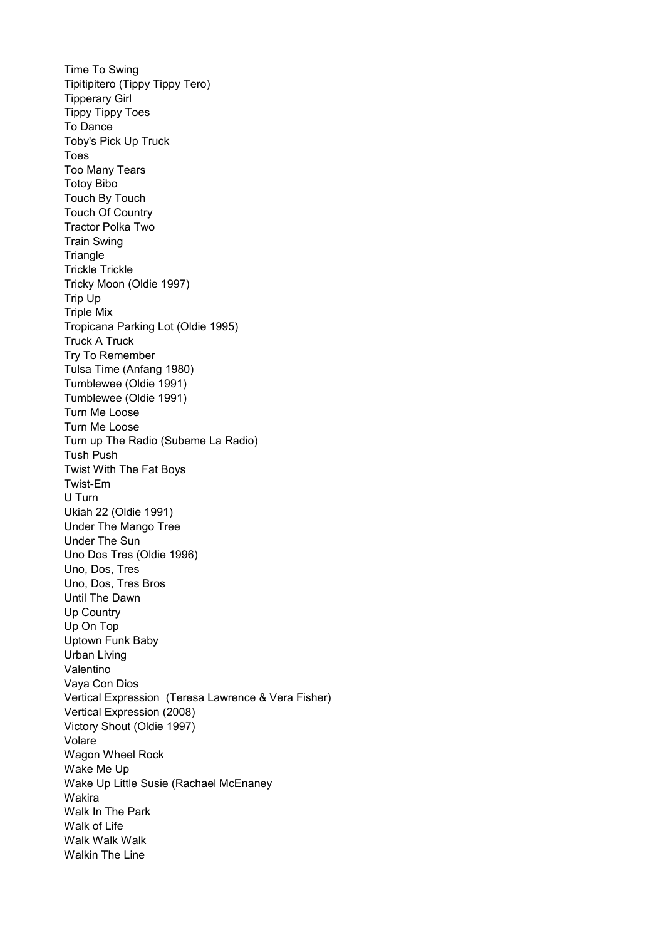Time To Swing Tipitipitero (Tippy Tippy Tero) Tipperary Girl Tippy Tippy Toes To Dance Toby's Pick Up Truck Toes Too Many Tears Totoy Bibo Touch By Touch Touch Of Country Tractor Polka Two Train Swing **Triangle** Trickle Trickle Tricky Moon (Oldie 1997) Trip Up Triple Mix Tropicana Parking Lot (Oldie 1995) Truck A Truck Try To Remember Tumblewee (Oldie 1991) Tumblewee (Oldie 1991) Turn Me Loose Turn Me Loose Turn up The Radio (Subeme La Radio) Tush Push Twist With The Fat Boys Twist-Em U Turn Ukiah 22 (Oldie 1991) Under The Mango Tree Under The Sun Uno Dos Tres (Oldie 1996) Uno, Dos, Tres Uno, Dos, Tres Bros Until The Dawn Up Country Up On Top Uptown Funk Baby Urban Living Valentino Vaya Con Dios Vertical Expression (Teresa Lawrence & Vera Fisher) Vertical Expression (2008) Victory Shout (Oldie 1997) Volare Wagon Wheel Rock Wake Me Up Wake Up Little Susie (Rachael McEnaney Wakira Walk In The Park Walk of Life Walk Walk Walk Walkin The Line Tulsa Time (Anfang 1980)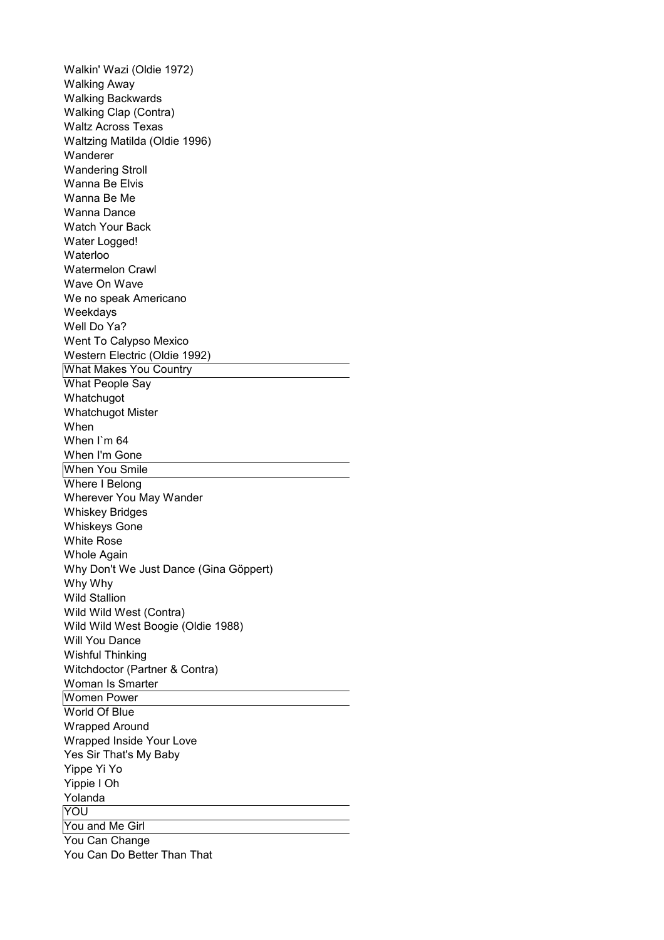Walkin' Wazi (Oldie 1972) Walking Away Walking Backwards Walking Clap (Contra) Waltz Across Texas Waltzing Matilda (Oldie 1996) Wanderer Wandering Stroll Wanna Be Elvis Wanna Be Me Wanna Dance Watch Your Back Water Logged! Waterloo Watermelon Crawl Wave On Wave We no speak Americano Weekdays Well Do Ya? Went To Calypso Mexico Western Electric (Oldie 1992) What Makes You Country What People Say Whatchugot Whatchugot Mister When When I`m 64 When I'm Gone When You Smile Where I Belong Wherever You May Wander Whiskey Bridges Whiskeys Gone White Rose Whole Again Why Don't We Just Dance (Gina Göppert) Why Why Wild Stallion Wild Wild West (Contra) Wild Wild West Boogie (Oldie 1988) Will You Dance Wishful Thinking Witchdoctor (Partner & Contra) Woman Is Smarter Women Power World Of Blue Wrapped Around Wrapped Inside Your Love Yes Sir That's My Baby Yippe Yi Yo Yippie I Oh Yolanda **YOU** You and Me Girl You Can Change You Can Do Better Than That